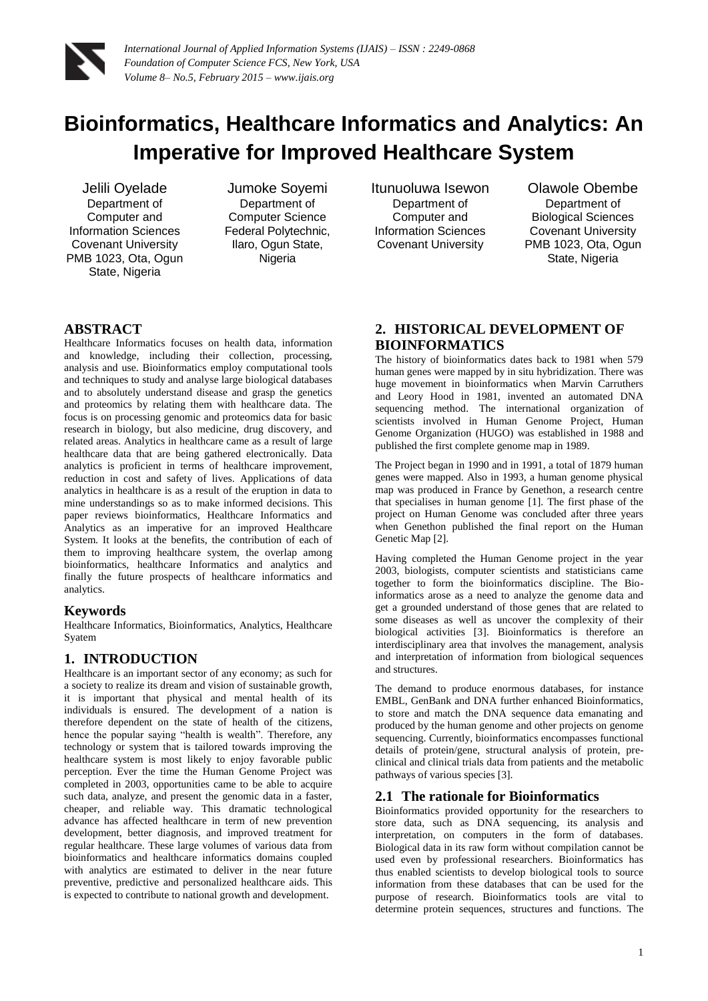

# **Bioinformatics, Healthcare Informatics and Analytics: An Imperative for Improved Healthcare System**

Jelili Oyelade Department of Computer and Information Sciences Covenant University PMB 1023, Ota, Ogun State, Nigeria

Jumoke Soyemi Department of Computer Science Federal Polytechnic, Ilaro, Ogun State, **Nigeria** 

Itunuoluwa Isewon Department of Computer and Information Sciences Covenant University

Olawole Obembe Department of Biological Sciences Covenant University PMB 1023, Ota, Ogun State, Nigeria

# **ABSTRACT**

Healthcare Informatics focuses on health data, information and knowledge, including their collection, processing, analysis and use. Bioinformatics employ computational tools and techniques to study and analyse large biological databases and to absolutely understand disease and grasp the genetics and proteomics by relating them with healthcare data. The focus is on processing genomic and proteomics data for basic research in biology, but also medicine, drug discovery, and related areas. Analytics in healthcare came as a result of large healthcare data that are being gathered electronically. Data analytics is proficient in terms of healthcare improvement, reduction in cost and safety of lives. Applications of data analytics in healthcare is as a result of the eruption in data to mine understandings so as to make informed decisions. This paper reviews bioinformatics, Healthcare Informatics and Analytics as an imperative for an improved Healthcare System. It looks at the benefits, the contribution of each of them to improving healthcare system, the overlap among bioinformatics, healthcare Informatics and analytics and finally the future prospects of healthcare informatics and analytics.

## **Keywords**

Healthcare Informatics, Bioinformatics, Analytics, Healthcare Syatem

# **1. INTRODUCTION**

Healthcare is an important sector of any economy; as such for a society to realize its dream and vision of sustainable growth, it is important that physical and mental health of its individuals is ensured. The development of a nation is therefore dependent on the state of health of the citizens, hence the popular saying "health is wealth". Therefore, any technology or system that is tailored towards improving the healthcare system is most likely to enjoy favorable public perception. Ever the time the Human Genome Project was completed in 2003, opportunities came to be able to acquire such data, analyze, and present the genomic data in a faster, cheaper, and reliable way. This dramatic technological advance has affected healthcare in term of new prevention development, better diagnosis, and improved treatment for regular healthcare. These large volumes of various data from bioinformatics and healthcare informatics domains coupled with analytics are estimated to deliver in the near future preventive, predictive and personalized healthcare aids. This is expected to contribute to national growth and development.

# **2. HISTORICAL DEVELOPMENT OF BIOINFORMATICS**

The history of bioinformatics dates back to 1981 when 579 human genes were mapped by in situ hybridization. There was huge movement in bioinformatics when Marvin Carruthers and Leory Hood in 1981, invented an automated DNA sequencing method. The international organization of scientists involved in Human Genome Project, Human Genome Organization (HUGO) was established in 1988 and published the first complete genome map in 1989.

The Project began in 1990 and in 1991, a total of 1879 human genes were mapped. Also in 1993, a human genome physical map was produced in France by Genethon, a research centre that specialises in human genome [1]. The first phase of the project on Human Genome was concluded after three years when Genethon published the final report on the Human Genetic Map [2].

Having completed the Human Genome project in the year 2003, biologists, computer scientists and statisticians came together to form the bioinformatics discipline. The Bioinformatics arose as a need to analyze the genome data and get a grounded understand of those genes that are related to some diseases as well as uncover the complexity of their biological activities [3]. Bioinformatics is therefore an interdisciplinary area that involves the management, analysis and interpretation of information from biological sequences and structures.

The demand to produce enormous databases, for instance EMBL, GenBank and DNA further enhanced Bioinformatics, to store and match the DNA sequence data emanating and produced by the human genome and other projects on genome sequencing. Currently, bioinformatics encompasses functional details of protein/gene, structural analysis of protein, preclinical and clinical trials data from patients and the metabolic pathways of various species [3].

# **2.1 The rationale for Bioinformatics**

Bioinformatics provided opportunity for the researchers to store data, such as DNA sequencing, its analysis and interpretation, on computers in the form of databases. Biological data in its raw form without compilation cannot be used even by professional researchers. Bioinformatics has thus enabled scientists to develop biological tools to source information from these databases that can be used for the purpose of research. Bioinformatics tools are vital to determine protein sequences, structures and functions. The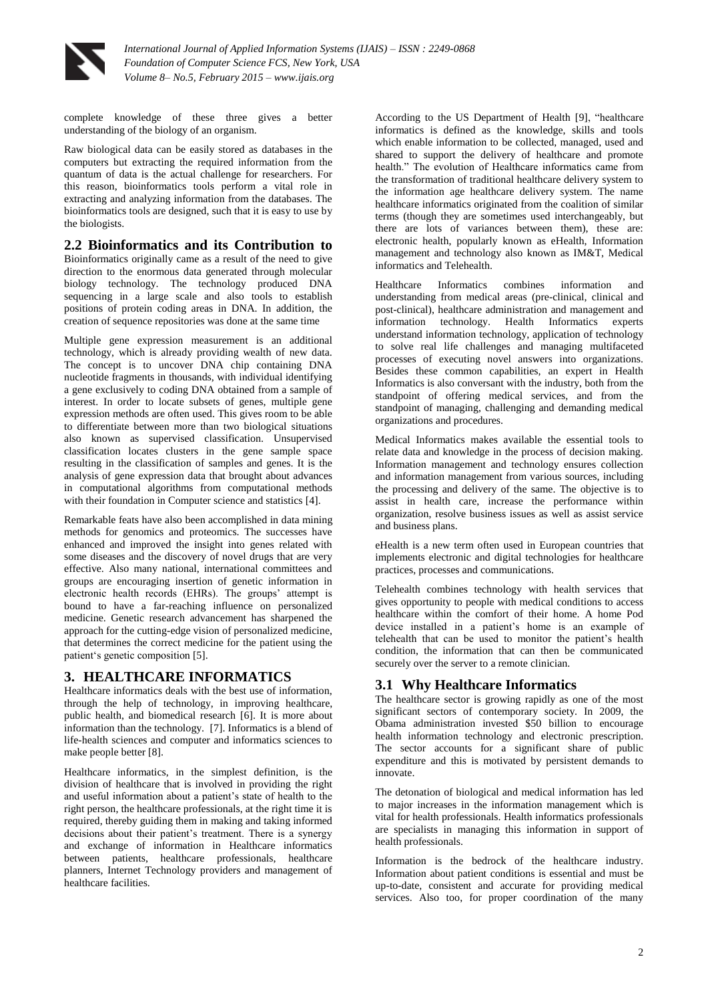

complete knowledge of these three gives a better understanding of the biology of an organism.

Raw biological data can be easily stored as databases in the computers but extracting the required information from the quantum of data is the actual challenge for researchers. For this reason, bioinformatics tools perform a vital role in extracting and analyzing information from the databases. The bioinformatics tools are designed, such that it is easy to use by the biologists.

#### **2.2 Bioinformatics and its Contribution to**

Bioinformatics originally came as a result of the need to give direction to the enormous data generated through molecular biology technology. The technology produced DNA sequencing in a large scale and also tools to establish positions of protein coding areas in DNA. In addition, the creation of sequence repositories was done at the same time

Multiple gene expression measurement is an additional technology, which is already providing wealth of new data. The concept is to uncover DNA chip containing DNA nucleotide fragments in thousands, with individual identifying a gene exclusively to coding DNA obtained from a sample of interest. In order to locate subsets of genes, multiple gene expression methods are often used. This gives room to be able to differentiate between more than two biological situations also known as supervised classification. Unsupervised classification locates clusters in the gene sample space resulting in the classification of samples and genes. It is the analysis of gene expression data that brought about advances in computational algorithms from computational methods with their foundation in Computer science and statistics [4].

Remarkable feats have also been accomplished in data mining methods for genomics and proteomics. The successes have enhanced and improved the insight into genes related with some diseases and the discovery of novel drugs that are very effective. Also many national, international committees and groups are encouraging insertion of genetic information in electronic health records (EHRs). The groups' attempt is bound to have a far-reaching influence on personalized medicine. Genetic research advancement has sharpened the approach for the cutting-edge vision of personalized medicine, that determines the correct medicine for the patient using the patient's genetic composition [5].

## **3. HEALTHCARE INFORMATICS**

Healthcare informatics deals with the best use of information, through the help of technology, in improving healthcare, public health, and biomedical research [6]. It is more about information than the technology. [7]. Informatics is a blend of life-health sciences and computer and informatics sciences to make people better [8].

Healthcare informatics, in the simplest definition, is the division of healthcare that is involved in providing the right and useful information about a patient's state of health to the right person, the healthcare professionals, at the right time it is required, thereby guiding them in making and taking informed decisions about their patient's treatment. There is a synergy and exchange of information in Healthcare informatics between patients, healthcare professionals, healthcare planners, Internet Technology providers and management of healthcare facilities.

According to the US Department of Health [9], "healthcare informatics is defined as the knowledge, skills and tools which enable information to be collected, managed, used and shared to support the delivery of healthcare and promote health." The evolution of Healthcare informatics came from the transformation of traditional healthcare delivery system to the information age healthcare delivery system. The name healthcare informatics originated from the coalition of similar terms (though they are sometimes used interchangeably, but there are lots of variances between them), these are: electronic health, popularly known as eHealth, Information management and technology also known as IM&T, Medical informatics and Telehealth.

Healthcare Informatics combines information and understanding from medical areas (pre-clinical, clinical and post-clinical), healthcare administration and management and information technology. Health Informatics experts understand information technology, application of technology to solve real life challenges and managing multifaceted processes of executing novel answers into organizations. Besides these common capabilities, an expert in Health Informatics is also conversant with the industry, both from the standpoint of offering medical services, and from the standpoint of managing, challenging and demanding medical organizations and procedures.

Medical Informatics makes available the essential tools to relate data and knowledge in the process of decision making. Information management and technology ensures collection and information management from various sources, including the processing and delivery of the same. The objective is to assist in health care, increase the performance within organization, resolve business issues as well as assist service and business plans.

eHealth is a new term often used in European countries that implements electronic and digital technologies for healthcare practices, processes and communications.

Telehealth combines technology with health services that gives opportunity to people with medical conditions to access healthcare within the comfort of their home. A home Pod device installed in a patient's home is an example of telehealth that can be used to monitor the patient's health condition, the information that can then be communicated securely over the server to a remote clinician.

## **3.1 Why Healthcare Informatics**

The healthcare sector is growing rapidly as one of the most significant sectors of contemporary society. In 2009, the Obama administration invested \$50 billion to encourage health information technology and electronic prescription. The sector accounts for a significant share of public expenditure and this is motivated by persistent demands to innovate.

The detonation of biological and medical information has led to major increases in the information management which is vital for health professionals. Health informatics professionals are specialists in managing this information in support of health professionals.

Information is the bedrock of the healthcare industry. Information about patient conditions is essential and must be up-to-date, consistent and accurate for providing medical services. Also too, for proper coordination of the many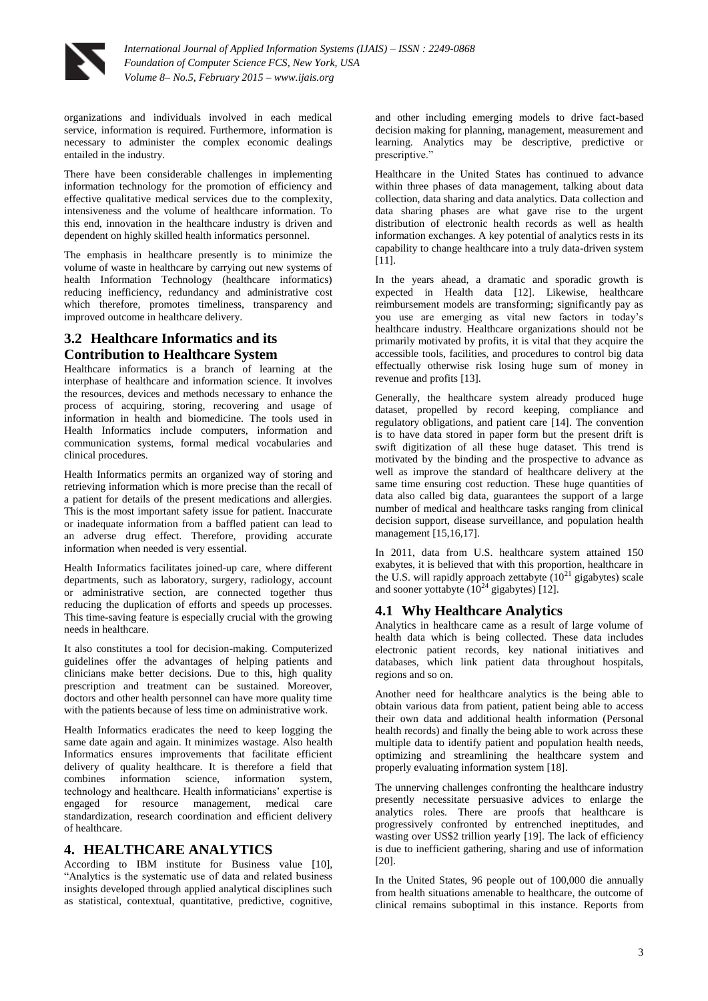

organizations and individuals involved in each medical service, information is required. Furthermore, information is necessary to administer the complex economic dealings entailed in the industry.

There have been considerable challenges in implementing information technology for the promotion of efficiency and effective qualitative medical services due to the complexity, intensiveness and the volume of healthcare information. To this end, innovation in the healthcare industry is driven and dependent on highly skilled health informatics personnel.

The emphasis in healthcare presently is to minimize the volume of waste in healthcare by carrying out new systems of health Information Technology (healthcare informatics) reducing inefficiency, redundancy and administrative cost which therefore, promotes timeliness, transparency and improved outcome in healthcare delivery.

# **3.2 Healthcare Informatics and its Contribution to Healthcare System**

Healthcare informatics is a branch of learning at the interphase of healthcare and information science. It involves the resources, devices and methods necessary to enhance the process of acquiring, storing, recovering and usage of information in health and biomedicine. The tools used in Health Informatics include computers, information and communication systems, formal medical vocabularies and clinical procedures.

Health Informatics permits an organized way of storing and retrieving information which is more precise than the recall of a patient for details of the present medications and allergies. This is the most important safety issue for patient. Inaccurate or inadequate information from a baffled patient can lead to an adverse drug effect. Therefore, providing accurate information when needed is very essential.

Health Informatics facilitates joined-up care, where different departments, such as laboratory, surgery, radiology, account or administrative section, are connected together thus reducing the duplication of efforts and speeds up processes. This time-saving feature is especially crucial with the growing needs in healthcare.

It also constitutes a tool for decision-making. Computerized guidelines offer the advantages of helping patients and clinicians make better decisions. Due to this, high quality prescription and treatment can be sustained. Moreover, doctors and other health personnel can have more quality time with the patients because of less time on administrative work.

Health Informatics eradicates the need to keep logging the same date again and again. It minimizes wastage. Also health Informatics ensures improvements that facilitate efficient delivery of quality healthcare. It is therefore a field that combines information science, information system, technology and healthcare. Health informaticians' expertise is engaged for resource management, medical care standardization, research coordination and efficient delivery of healthcare.

# **4. HEALTHCARE ANALYTICS**

According to IBM institute for Business value [10], "Analytics is the systematic use of data and related business insights developed through applied analytical disciplines such as statistical, contextual, quantitative, predictive, cognitive,

and other including emerging models to drive fact-based decision making for planning, management, measurement and learning. Analytics may be descriptive, predictive or prescriptive."

Healthcare in the United States has continued to advance within three phases of data management, talking about data collection, data sharing and data analytics. Data collection and data sharing phases are what gave rise to the urgent distribution of electronic health records as well as health information exchanges. A key potential of analytics rests in its capability to change healthcare into a truly data-driven system [11].

In the years ahead, a dramatic and sporadic growth is expected in Health data [12]. Likewise, healthcare reimbursement models are transforming; significantly pay as you use are emerging as vital new factors in today's healthcare industry. Healthcare organizations should not be primarily motivated by profits, it is vital that they acquire the accessible tools, facilities, and procedures to control big data effectually otherwise risk losing huge sum of money in revenue and profits [13].

Generally, the healthcare system already produced huge dataset, propelled by record keeping, compliance and regulatory obligations, and patient care [14]. The convention is to have data stored in paper form but the present drift is swift digitization of all these huge dataset. This trend is motivated by the binding and the prospective to advance as well as improve the standard of healthcare delivery at the same time ensuring cost reduction. These huge quantities of data also called big data, guarantees the support of a large number of medical and healthcare tasks ranging from clinical decision support, disease surveillance, and population health management [15,16,17].

In 2011, data from U.S. healthcare system attained 150 exabytes, it is believed that with this proportion, healthcare in the U.S. will rapidly approach zettabyte  $(10^{21}$  gigabytes) scale and sooner yottabyte  $(10^{24}$  gigabytes) [12].

# **4.1 Why Healthcare Analytics**

Analytics in healthcare came as a result of large volume of health data which is being collected. These data includes electronic patient records, key national initiatives and databases, which link patient data throughout hospitals, regions and so on.

Another need for healthcare analytics is the being able to obtain various data from patient, patient being able to access their own data and additional health information (Personal health records) and finally the being able to work across these multiple data to identify patient and population health needs, optimizing and streamlining the healthcare system and properly evaluating information system [18].

The unnerving challenges confronting the healthcare industry presently necessitate persuasive advices to enlarge the analytics roles. There are proofs that healthcare is progressively confronted by entrenched ineptitudes, and wasting over US\$2 trillion yearly [19]. The lack of efficiency is due to inefficient gathering, sharing and use of information [20].

In the United States, 96 people out of 100,000 die annually from health situations amenable to healthcare, the outcome of clinical remains suboptimal in this instance. Reports from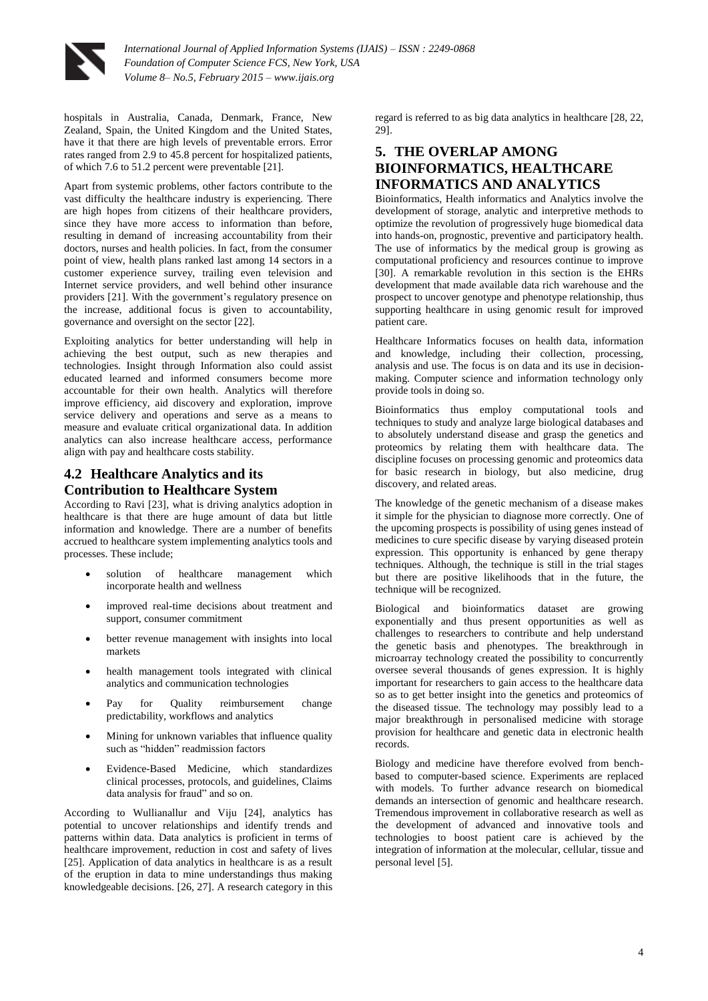

hospitals in Australia, Canada, Denmark, France, New Zealand, Spain, the United Kingdom and the United States, have it that there are high levels of preventable errors. Error rates ranged from 2.9 to 45.8 percent for hospitalized patients, of which 7.6 to 51.2 percent were preventable [21].

Apart from systemic problems, other factors contribute to the vast difficulty the healthcare industry is experiencing. There are high hopes from citizens of their healthcare providers, since they have more access to information than before, resulting in demand of increasing accountability from their doctors, nurses and health policies. In fact, from the consumer point of view, health plans ranked last among 14 sectors in a customer experience survey, trailing even television and Internet service providers, and well behind other insurance providers [21]. With the government's regulatory presence on the increase, additional focus is given to accountability, governance and oversight on the sector [22].

Exploiting analytics for better understanding will help in achieving the best output, such as new therapies and technologies. Insight through Information also could assist educated learned and informed consumers become more accountable for their own health. Analytics will therefore improve efficiency, aid discovery and exploration, improve service delivery and operations and serve as a means to measure and evaluate critical organizational data. In addition analytics can also increase healthcare access, performance align with pay and healthcare costs stability.

# **4.2 Healthcare Analytics and its Contribution to Healthcare System**

According to Ravi [23], what is driving analytics adoption in healthcare is that there are huge amount of data but little information and knowledge. There are a number of benefits accrued to healthcare system implementing analytics tools and processes. These include;

- solution of healthcare management which incorporate health and wellness
- improved real-time decisions about treatment and support, consumer commitment
- better revenue management with insights into local markets
- health management tools integrated with clinical analytics and communication technologies
- Pay for Quality reimbursement change predictability, workflows and analytics
- Mining for unknown variables that influence quality such as "hidden" readmission factors
- Evidence-Based Medicine, which standardizes clinical processes, protocols, and guidelines, Claims data analysis for fraud" and so on.

According to Wullianallur and Viju [24], analytics has potential to uncover relationships and identify trends and patterns within data. Data analytics is proficient in terms of healthcare improvement, reduction in cost and safety of lives [25]. Application of data analytics in healthcare is as a result of the eruption in data to mine understandings thus making knowledgeable decisions. [26, 27]. A research category in this

regard is referred to as big data analytics in healthcare [28, 22, 29].

## **5. THE OVERLAP AMONG BIOINFORMATICS, HEALTHCARE INFORMATICS AND ANALYTICS**

Bioinformatics, Health informatics and Analytics involve the development of storage, analytic and interpretive methods to optimize the revolution of progressively huge biomedical data into hands-on, prognostic, preventive and participatory health. The use of informatics by the medical group is growing as computational proficiency and resources continue to improve [30]. A remarkable revolution in this section is the EHRs development that made available data rich warehouse and the prospect to uncover genotype and phenotype relationship, thus supporting healthcare in using genomic result for improved patient care.

Healthcare Informatics focuses on health data, information and knowledge, including their collection, processing, analysis and use. The focus is on data and its use in decisionmaking. Computer science and information technology only provide tools in doing so.

Bioinformatics thus employ computational tools and techniques to study and analyze large biological databases and to absolutely understand disease and grasp the genetics and proteomics by relating them with healthcare data. The discipline focuses on processing genomic and proteomics data for basic research in biology, but also medicine, drug discovery, and related areas.

The knowledge of the genetic mechanism of a disease makes it simple for the physician to diagnose more correctly. One of the upcoming prospects is possibility of using genes instead of medicines to cure specific disease by varying diseased protein expression. This opportunity is enhanced by gene therapy techniques. Although, the technique is still in the trial stages but there are positive likelihoods that in the future, the technique will be recognized.

Biological and bioinformatics dataset are growing exponentially and thus present opportunities as well as challenges to researchers to contribute and help understand the genetic basis and phenotypes. The breakthrough in microarray technology created the possibility to concurrently oversee several thousands of genes expression. It is highly important for researchers to gain access to the healthcare data so as to get better insight into the genetics and proteomics of the diseased tissue. The technology may possibly lead to a major breakthrough in personalised medicine with storage provision for healthcare and genetic data in electronic health records.

Biology and medicine have therefore evolved from benchbased to computer-based science. Experiments are replaced with models. To further advance research on biomedical demands an intersection of genomic and healthcare research. Tremendous improvement in collaborative research as well as the development of advanced and innovative tools and technologies to boost patient care is achieved by the integration of information at the molecular, cellular, tissue and personal level [5].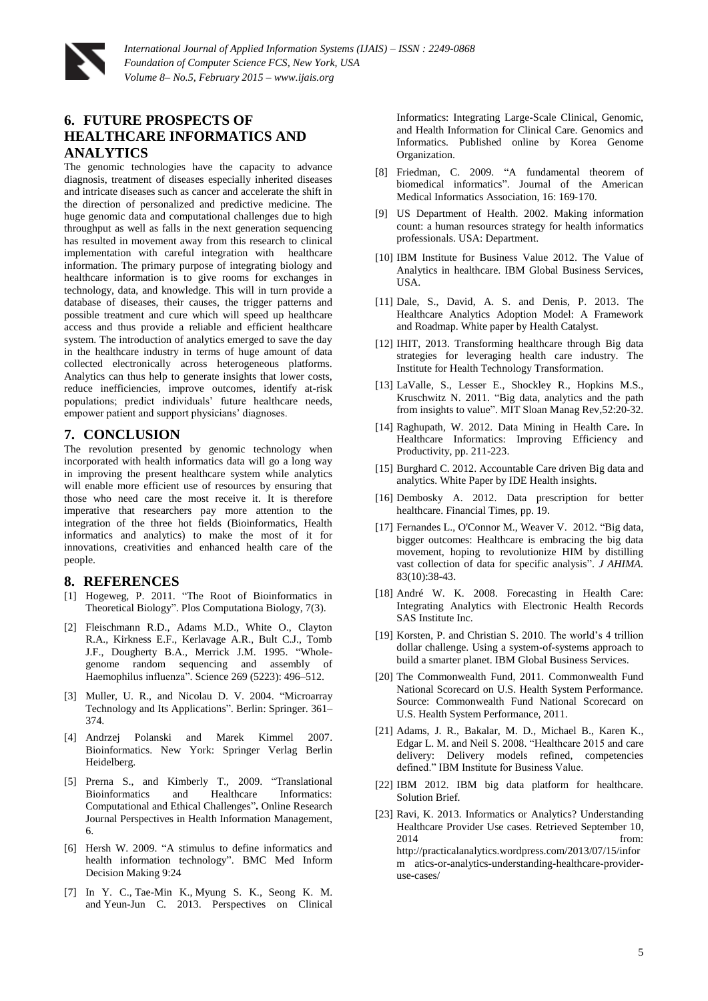

*International Journal of Applied Information Systems (IJAIS) – ISSN : 2249-0868 Foundation of Computer Science FCS, New York, USA Volume 8– No.5, February 2015 – www.ijais.org*

# **6. FUTURE PROSPECTS OF HEALTHCARE INFORMATICS AND ANALYTICS**

The genomic technologies have the capacity to advance diagnosis, treatment of diseases especially inherited diseases and intricate diseases such as cancer and accelerate the shift in the direction of personalized and predictive medicine. The huge genomic data and computational challenges due to high throughput as well as falls in the next generation sequencing has resulted in movement away from this research to clinical implementation with careful integration with healthcare information. The primary purpose of integrating biology and healthcare information is to give rooms for exchanges in technology, data, and knowledge. This will in turn provide a database of diseases, their causes, the trigger patterns and possible treatment and cure which will speed up healthcare access and thus provide a reliable and efficient healthcare system. The introduction of analytics emerged to save the day in the healthcare industry in terms of huge amount of data collected electronically across heterogeneous platforms. Analytics can thus help to generate insights that lower costs, reduce inefficiencies, improve outcomes, identify at-risk populations; predict individuals' future healthcare needs, empower patient and support physicians' diagnoses.

#### **7. CONCLUSION**

The revolution presented by genomic technology when incorporated with health informatics data will go a long way in improving the present healthcare system while analytics will enable more efficient use of resources by ensuring that those who need care the most receive it. It is therefore imperative that researchers pay more attention to the integration of the three hot fields (Bioinformatics, Health informatics and analytics) to make the most of it for innovations, creativities and enhanced health care of the people.

#### **8. REFERENCES**

- [1] Hogeweg, P. 2011. "The Root of Bioinformatics in Theoretical Biology". Plos Computationa Biology, 7(3).
- [2] Fleischmann R.D., Adams M.D., White O., Clayton R.A., Kirkness E.F., Kerlavage A.R., Bult C.J., Tomb J.F., Dougherty B.A., Merrick J.M. 1995. "Wholegenome random sequencing and assembly of Haemophilus influenza". Science 269 (5223): 496–512.
- [3] Muller, U. R., and Nicolau D. V. 2004. "Microarray Technology and Its Applications". Berlin: Springer. 361– 374.
- [4] Andrzej Polanski and Marek Kimmel 2007. Bioinformatics. New York: Springer Verlag Berlin Heidelberg.
- [5] Prerna S., and Kimberly T., 2009. "Translational Bioinformatics and Healthcare Informatics: Computational and Ethical Challenges"**.** Online Research Journal Perspectives in Health Information Management, 6.
- [6] Hersh W. 2009. "A stimulus to define informatics and health information technology". BMC Med Inform Decision Making 9:24
- [7] In Y. C., Tae-Min K., Myung S. K., Seong K. M. and Yeun-Jun C. 2013. Perspectives on Clinical

Informatics: Integrating Large-Scale Clinical, Genomic, and Health Information for Clinical Care. Genomics and Informatics. Published online by Korea Genome Organization.

- [8] Friedman, C. 2009. "A fundamental theorem of biomedical informatics". Journal of the American Medical Informatics Association, 16: 169‐170.
- [9] US Department of Health. 2002. Making information count: a human resources strategy for health informatics professionals. USA: Department.
- [10] IBM Institute for Business Value 2012. The Value of Analytics in healthcare. IBM Global Business Services, USA.
- [11] Dale, S., David, A. S. and Denis, P. 2013. The Healthcare Analytics Adoption Model: A Framework and Roadmap. White paper by Health Catalyst.
- [12] IHIT, 2013. Transforming healthcare through Big data strategies for leveraging health care industry. The Institute for Health Technology Transformation.
- [13] LaValle, S., Lesser E., Shockley R., Hopkins M.S., Kruschwitz N. 2011. "Big data, analytics and the path from insights to value". MIT Sloan Manag Rev,52:20-32.
- [14] Raghupath, W. 2012. Data Mining in Health Care**.** In Healthcare Informatics: Improving Efficiency and Productivity*,* pp. 211-223.
- [15] Burghard C. 2012. Accountable Care driven Big data and analytics. White Paper by IDE Health insights.
- [16] Dembosky A. 2012. Data prescription for better healthcare. Financial Times, pp. 19.
- [17] Fernandes L., O'Connor M., Weaver V. 2012. "Big data, bigger outcomes: Healthcare is embracing the big data movement, hoping to revolutionize HIM by distilling vast collection of data for specific analysis". *J AHIMA.* 83(10):38-43.
- [18] André W. K. 2008. Forecasting in Health Care: Integrating Analytics with Electronic Health Records SAS Institute Inc.
- [19] Korsten, P. and Christian S. 2010. The world's 4 trillion dollar challenge. Using a system-of-systems approach to build a smarter planet. IBM Global Business Services.
- [20] The Commonwealth Fund, 2011. Commonwealth Fund National Scorecard on U.S. Health System Performance. Source: Commonwealth Fund National Scorecard on U.S. Health System Performance, 2011.
- [21] Adams, J. R., Bakalar, M. D., Michael B., Karen K., Edgar L. M. and Neil S. 2008. "Healthcare 2015 and care delivery: Delivery models refined, competencies defined." IBM Institute for Business Value.
- [22] IBM 2012. IBM big data platform for healthcare. Solution Brief.
- [23] Ravi, K. 2013. Informatics or Analytics? Understanding Healthcare Provider Use cases. Retrieved September 10, 2014 **from:** http://practicalanalytics.wordpress.com/2013/07/15/infor m atics-or-analytics-understanding-healthcare-provideruse-cases/